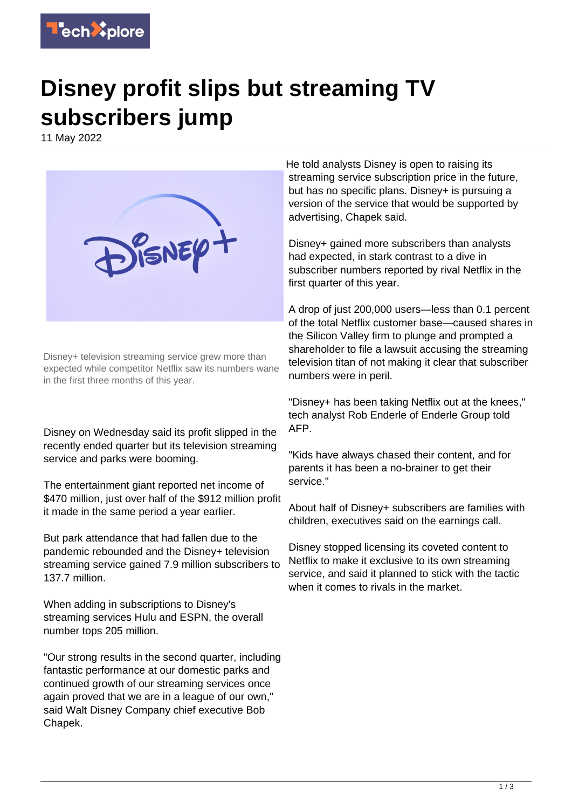

## **Disney profit slips but streaming TV subscribers jump**

11 May 2022



Disney+ television streaming service grew more than expected while competitor Netflix saw its numbers wane in the first three months of this year.

Disney on Wednesday said its profit slipped in the recently ended quarter but its television streaming service and parks were booming.

The entertainment giant reported net income of \$470 million, just over half of the \$912 million profit it made in the same period a year earlier.

But park attendance that had fallen due to the pandemic rebounded and the Disney+ television streaming service gained 7.9 million subscribers to 137.7 million.

When adding in subscriptions to Disney's streaming services Hulu and ESPN, the overall number tops 205 million.

"Our strong results in the second quarter, including fantastic performance at our domestic parks and continued growth of our streaming services once again proved that we are in a league of our own," said Walt Disney Company chief executive Bob Chapek.

He told analysts Disney is open to raising its streaming service subscription price in the future, but has no specific plans. Disney+ is pursuing a version of the service that would be supported by advertising, Chapek said.

Disney+ gained more subscribers than analysts had expected, in stark contrast to a dive in subscriber numbers reported by rival Netflix in the first quarter of this year.

A drop of just 200,000 users—less than 0.1 percent of the total Netflix customer base—caused shares in the Silicon Valley firm to plunge and prompted a shareholder to file a lawsuit accusing the streaming television titan of not making it clear that subscriber numbers were in peril.

"Disney+ has been taking Netflix out at the knees," tech analyst Rob Enderle of Enderle Group told AFP.

"Kids have always chased their content, and for parents it has been a no-brainer to get their service."

About half of Disney+ subscribers are families with children, executives said on the earnings call.

Disney stopped licensing its coveted content to Netflix to make it exclusive to its own streaming service, and said it planned to stick with the tactic when it comes to rivals in the market.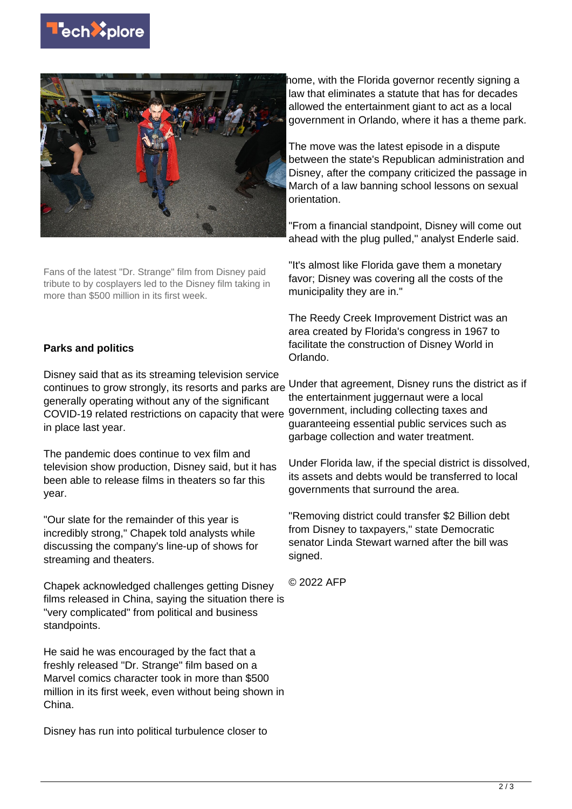



Fans of the latest "Dr. Strange" film from Disney paid tribute to by cosplayers led to the Disney film taking in more than \$500 million in its first week.

## **Parks and politics**

Disney said that as its streaming television service continues to grow strongly, its resorts and parks are Under that agreement, Disney runs the district as if generally operating without any of the significant COVID-19 related restrictions on capacity that were in place last year.

The pandemic does continue to vex film and television show production, Disney said, but it has been able to release films in theaters so far this year.

"Our slate for the remainder of this year is incredibly strong," Chapek told analysts while discussing the company's line-up of shows for streaming and theaters.

Chapek acknowledged challenges getting Disney films released in China, saying the situation there is "very complicated" from political and business standpoints.

He said he was encouraged by the fact that a freshly released "Dr. Strange" film based on a Marvel comics character took in more than \$500 million in its first week, even without being shown in China.

Disney has run into political turbulence closer to

home, with the Florida governor recently signing a law that eliminates a statute that has for decades allowed the entertainment giant to act as a local government in Orlando, where it has a theme park.

The move was the latest episode in a dispute between the state's Republican administration and Disney, after the company criticized the passage in March of a law banning school lessons on sexual orientation.

"From a financial standpoint, Disney will come out ahead with the plug pulled," analyst Enderle said.

"It's almost like Florida gave them a monetary favor; Disney was covering all the costs of the municipality they are in."

The Reedy Creek Improvement District was an area created by Florida's congress in 1967 to facilitate the construction of Disney World in Orlando.

the entertainment juggernaut were a local government, including collecting taxes and guaranteeing essential public services such as garbage collection and water treatment.

Under Florida law, if the special district is dissolved, its assets and debts would be transferred to local governments that surround the area.

"Removing district could transfer \$2 Billion debt from Disney to taxpayers," state Democratic senator Linda Stewart warned after the bill was signed.

© 2022 AFP